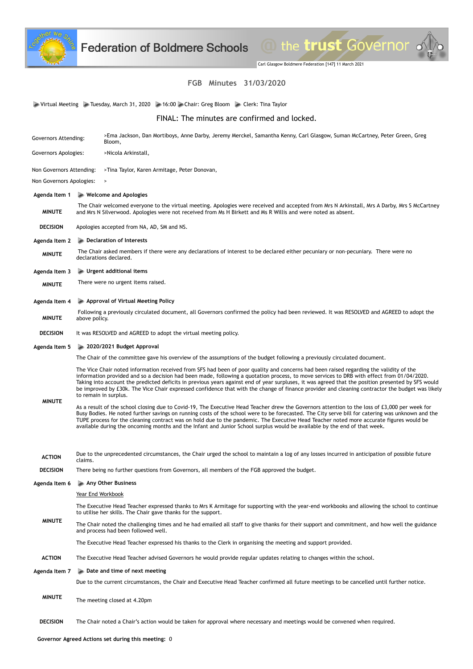

Carl Glasgow Boldmere Federation [147] 11 March 2021

the trust Governor .

## **FGB Minutes 31/03/2020**

Virtual Meeting Tuesday, March 31, 2020 16:00 Chair: Greg Bloom Clerk: Tina Taylor

FINAL: The minutes are confirmed and locked.

| Governors Attending:                                                     | >Ema Jackson, Dan Mortiboys, Anne Darby, Jeremy Merckel, Samantha Kenny, Carl Glasgow, Suman McCartney, Peter Green, Greg<br>Bloom,                                                                                                                                                                                                                                                                                                                                                                                                                                                                                   |
|--------------------------------------------------------------------------|-----------------------------------------------------------------------------------------------------------------------------------------------------------------------------------------------------------------------------------------------------------------------------------------------------------------------------------------------------------------------------------------------------------------------------------------------------------------------------------------------------------------------------------------------------------------------------------------------------------------------|
| Governors Apologies:                                                     | >Nicola Arkinstall,                                                                                                                                                                                                                                                                                                                                                                                                                                                                                                                                                                                                   |
| Non Governors Attending:<br>>Tina Taylor, Karen Armitage, Peter Donovan, |                                                                                                                                                                                                                                                                                                                                                                                                                                                                                                                                                                                                                       |
| Non Governors Apologies:<br>$\, > \,$                                    |                                                                                                                                                                                                                                                                                                                                                                                                                                                                                                                                                                                                                       |
| $\blacktriangleright$ Welcome and Apologies<br>Agenda Item 1             |                                                                                                                                                                                                                                                                                                                                                                                                                                                                                                                                                                                                                       |
| <b>MINUTE</b>                                                            | The Chair welcomed everyone to the virtual meeting. Apologies were received and accepted from Mrs N Arkinstall, Mrs A Darby, Mrs S McCartney<br>and Mrs N Silverwood. Apologies were not received from Ms H Birkett and Ms R Willis and were noted as absent.                                                                                                                                                                                                                                                                                                                                                         |
| <b>DECISION</b>                                                          | Apologies accepted from NA, AD, SM and NS.                                                                                                                                                                                                                                                                                                                                                                                                                                                                                                                                                                            |
| Agenda Item 2                                                            | Declaration of Interests                                                                                                                                                                                                                                                                                                                                                                                                                                                                                                                                                                                              |
| <b>MINUTE</b>                                                            | The Chair asked members if there were any declarations of interest to be declared either pecuniary or non-pecuniary. There were no<br>declarations declared.                                                                                                                                                                                                                                                                                                                                                                                                                                                          |
| Agenda Item 3                                                            | $\blacktriangleright$ Urgent additional items                                                                                                                                                                                                                                                                                                                                                                                                                                                                                                                                                                         |
| <b>MINUTE</b>                                                            | There were no urgent items raised.                                                                                                                                                                                                                                                                                                                                                                                                                                                                                                                                                                                    |
| Agenda Item 4                                                            | Approval of Virtual Meeting Policy                                                                                                                                                                                                                                                                                                                                                                                                                                                                                                                                                                                    |
| <b>MINUTE</b>                                                            | Following a previously circulated document, all Governors confirmed the policy had been reviewed. It was RESOLVED and AGREED to adopt the<br>above policy.                                                                                                                                                                                                                                                                                                                                                                                                                                                            |
| <b>DECISION</b>                                                          | It was RESOLVED and AGREED to adopt the virtual meeting policy.                                                                                                                                                                                                                                                                                                                                                                                                                                                                                                                                                       |
| Agenda Item 5                                                            | 2020/2021 Budget Approval                                                                                                                                                                                                                                                                                                                                                                                                                                                                                                                                                                                             |
|                                                                          | The Chair of the committee gave his overview of the assumptions of the budget following a previously circulated document.                                                                                                                                                                                                                                                                                                                                                                                                                                                                                             |
| <b>MINUTE</b>                                                            | The Vice Chair noted information received from SFS had been of poor quality and concerns had been raised regarding the validity of the<br>information provided and so a decision had been made, following a quotation process, to move services to DRB with effect from 01/04/2020.<br>Taking into account the predicted deficits in previous years against end of year surpluses, it was agreed that the position presented by SFS would<br>be improved by £30k. The Vice Chair expressed confidence that with the change of finance provider and cleaning contractor the budget was likely<br>to remain in surplus. |
|                                                                          | As a result of the school closing due to Covid-19, The Executive Head Teacher drew the Governors attention to the loss of £3,000 per week for<br>Busy Bodies. He noted further savings on running costs of the school were to be forecasted. The City serve bill for catering was unknown and the<br>TUPE process for the cleaning contract was on hold due to the pandemic. The Executive Head Teacher noted more accurate figures would be<br>available during the oncoming months and the Infant and Junior School surplus would be available by the end of that week.                                             |
| <b>ACTION</b>                                                            | Due to the unprecedented circumstances, the Chair urged the school to maintain a log of any losses incurred in anticipation of possible future<br>claims.                                                                                                                                                                                                                                                                                                                                                                                                                                                             |
| <b>DECISION</b>                                                          | There being no further questions from Governors, all members of the FGB approved the budget.                                                                                                                                                                                                                                                                                                                                                                                                                                                                                                                          |
| Agenda Item 6                                                            | Any Other Business                                                                                                                                                                                                                                                                                                                                                                                                                                                                                                                                                                                                    |
|                                                                          | <u>Year End Workbook</u>                                                                                                                                                                                                                                                                                                                                                                                                                                                                                                                                                                                              |
| <b>MINUTE</b>                                                            | The Executive Head Teacher expressed thanks to Mrs K Armitage for supporting with the year-end workbooks and allowing the school to continue<br>to utilise her skills. The Chair gave thanks for the support.                                                                                                                                                                                                                                                                                                                                                                                                         |
|                                                                          | The Chair noted the challenging times and he had emailed all staff to give thanks for their support and commitment, and how well the guidance<br>and process had been followed well.                                                                                                                                                                                                                                                                                                                                                                                                                                  |
|                                                                          | The Executive Head Teacher expressed his thanks to the Clerk in organising the meeting and support provided.                                                                                                                                                                                                                                                                                                                                                                                                                                                                                                          |
| <b>ACTION</b>                                                            | The Executive Head Teacher advised Governors he would provide regular updates relating to changes within the school.                                                                                                                                                                                                                                                                                                                                                                                                                                                                                                  |
| Agenda Item 7                                                            | $\triangleright$ Date and time of next meeting                                                                                                                                                                                                                                                                                                                                                                                                                                                                                                                                                                        |
|                                                                          | Due to the current circumstances, the Chair and Executive Head Teacher confirmed all future meetings to be cancelled until further notice.                                                                                                                                                                                                                                                                                                                                                                                                                                                                            |
| <b>MINUTE</b>                                                            | The meeting closed at 4.20pm                                                                                                                                                                                                                                                                                                                                                                                                                                                                                                                                                                                          |
| <b>DECISION</b>                                                          | The Chair noted a Chair's action would be taken for approval where necessary and meetings would be convened when required.                                                                                                                                                                                                                                                                                                                                                                                                                                                                                            |